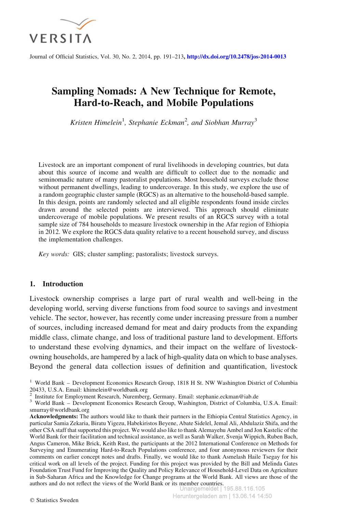

Journal of Official Statistics, Vol. 30, No. 2, 2014, pp. 191–213, <http://dx.doi.org/10.2478/jos-2014-0013>

# Sampling Nomads: A New Technique for Remote, Hard-to-Reach, and Mobile Populations

Kristen Himelein<sup>1</sup>, Stephanie Eckman<sup>2</sup>, and Siobhan Murray<sup>3</sup>

Livestock are an important component of rural livelihoods in developing countries, but data about this source of income and wealth are difficult to collect due to the nomadic and seminomadic nature of many pastoralist populations. Most household surveys exclude those without permanent dwellings, leading to undercoverage. In this study, we explore the use of a random geographic cluster sample (RGCS) as an alternative to the household-based sample. In this design, points are randomly selected and all eligible respondents found inside circles drawn around the selected points are interviewed. This approach should eliminate undercoverage of mobile populations. We present results of an RGCS survey with a total sample size of 784 households to measure livestock ownership in the Afar region of Ethiopia in 2012. We explore the RGCS data quality relative to a recent household survey, and discuss the implementation challenges.

Key words: GIS; cluster sampling; pastoralists; livestock surveys.

# 1. Introduction

Livestock ownership comprises a large part of rural wealth and well-being in the developing world, serving diverse functions from food source to savings and investment vehicle. The sector, however, has recently come under increasing pressure from a number of sources, including increased demand for meat and dairy products from the expanding middle class, climate change, and loss of traditional pasture land to development. Efforts to understand these evolving dynamics, and their impact on the welfare of livestockowning households, are hampered by a lack of high-quality data on which to base analyses. Beyond the general data collection issues of definition and quantification, livestock

<sup>&</sup>lt;sup>1</sup> World Bank – Development Economics Research Group, 1818 H St. NW Washington District of Columbia 20433, U.S.A. Email: khimelein@worldbank.org

<sup>&</sup>lt;sup>2</sup> Institute for Employment Research, Nuremberg, Germany. Email: stephanie.eckman@iab.de  $3$  World Bank – Development Economics Research Group, Washington, District of Columbia, U.S.A. Email: smurray@worldbank.org

Acknowledgments: The authors would like to thank their partners in the Ethiopia Central Statistics Agency, in particular Samia Zekaria, Biratu Yigezu, Habekiristos Beyene, Abate Sidelel, Jemal Ali, Abdulaziz Shifa, and the other CSA staff that supported this project. We would also like to thank Alemayehu Ambel and Jon Kastelic of the World Bank for their facilitation and technical assistance, as well as Sarah Walker, Svenja Wippich, Ruben Bach, Angus Cameron, Mike Brick, Keith Rust, the participants at the 2012 International Conference on Methods for Surveying and Enumerating Hard-to-Reach Populations conference, and four anonymous reviewers for their comments on earlier concept notes and drafts. Finally, we would like to thank Asmelash Haile Tsegay for his critical work on all levels of the project. Funding for this project was provided by the Bill and Melinda Gates Foundation Trust Fund for Improving the Quality and Policy Relevance of Household-Level Data on Agriculture in Sub-Saharan Africa and the Knowledge for Change programs at the World Bank. All views are those of the authors and do not reflect the views of the World Bank or its member countries. Unangemeldet | 195.88.116.105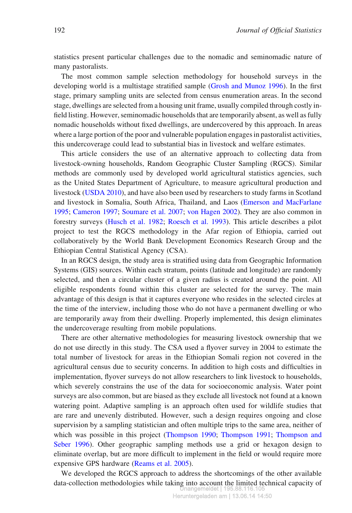statistics present particular challenges due to the nomadic and seminomadic nature of many pastoralists.

The most common sample selection methodology for household surveys in the developing world is a multistage stratified sample (Grosh and Munoz 1996). In the first stage, primary sampling units are selected from census enumeration areas. In the second stage, dwellings are selected from a housing unit frame, usually compiled through costly infield listing. However, seminomadic households that are temporarily absent, as well as fully nomadic households without fixed dwellings, are undercovered by this approach. In areas where a large portion of the poor and vulnerable population engages in pastoralist activities, this undercoverage could lead to substantial bias in livestock and welfare estimates.

This article considers the use of an alternative approach to collecting data from livestock-owning households, Random Geographic Cluster Sampling (RGCS). Similar methods are commonly used by developed world agricultural statistics agencies, such as the United States Department of Agriculture, to measure agricultural production and livestock (USDA 2010), and have also been used by researchers to study farms in Scotland and livestock in Somalia, South Africa, Thailand, and Laos (Emerson and MacFarlane 1995; Cameron 1997; Soumare et al. 2007; von Hagen 2002). They are also common in forestry surveys (Husch et al. 1982; Roesch et al. 1993). This article describes a pilot project to test the RGCS methodology in the Afar region of Ethiopia, carried out collaboratively by the World Bank Development Economics Research Group and the Ethiopian Central Statistical Agency (CSA).

In an RGCS design, the study area is stratified using data from Geographic Information Systems (GIS) sources. Within each stratum, points (latitude and longitude) are randomly selected, and then a circular cluster of a given radius is created around the point. All eligible respondents found within this cluster are selected for the survey. The main advantage of this design is that it captures everyone who resides in the selected circles at the time of the interview, including those who do not have a permanent dwelling or who are temporarily away from their dwelling. Properly implemented, this design eliminates the undercoverage resulting from mobile populations.

There are other alternative methodologies for measuring livestock ownership that we do not use directly in this study. The CSA used a flyover survey in 2004 to estimate the total number of livestock for areas in the Ethiopian Somali region not covered in the agricultural census due to security concerns. In addition to high costs and difficulties in implementation, flyover surveys do not allow researchers to link livestock to households, which severely constrains the use of the data for socioeconomic analysis. Water point surveys are also common, but are biased as they exclude all livestock not found at a known watering point. Adaptive sampling is an approach often used for wildlife studies that are rare and unevenly distributed. However, such a design requires ongoing and close supervision by a sampling statistician and often multiple trips to the same area, neither of which was possible in this project (Thompson 1990; Thompson 1991; Thompson and Seber 1996). Other geographic sampling methods use a grid or hexagon design to eliminate overlap, but are more difficult to implement in the field or would require more expensive GPS hardware (Reams et al. 2005).

We developed the RGCS approach to address the shortcomings of the other available data-collection methodologies while taking into account the limited technical capacity of Unangemeldet | 195.88.116.105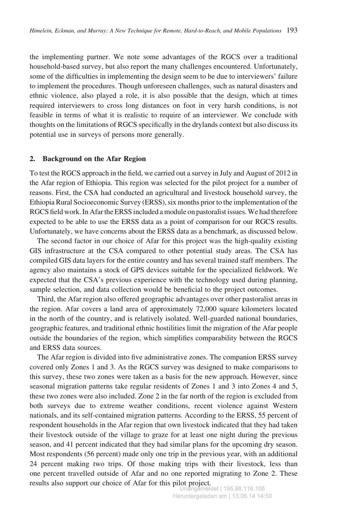the implementing partner. We note some advantages of the RGCS over a traditional household-based survey, but also report the many challenges encountered. Unfortunately, some of the difficulties in implementing the design seem to be due to interviewers' failure to implement the procedures. Though unforeseen challenges, such as natural disasters and ethnic violence, also played a role, it is also possible that the design, which at times required interviewers to cross long distances on foot in very harsh conditions, is not feasible in terms of what it is realistic to require of an interviewer. We conclude with thoughts on the limitations of RGCS specifically in the drylands context but also discuss its potential use in surveys of persons more generally.

#### 2. Background on the Afar Region

To test the RGCS approach in the field, we carried out a survey in July and August of 2012 in the Afar region of Ethiopia. This region was selected for the pilot project for a number of reasons. First, the CSA had conducted an agricultural and livestock household survey, the Ethiopia Rural Socioeconomic Survey (ERSS), six months prior to the implementation of the RGCS field work. In Afar the ERSS included a module on pastoralist issues. We had therefore expected to be able to use the ERSS data as a point of comparison for our RGCS results. Unfortunately, we have concerns about the ERSS data as a benchmark, as discussed below.

The second factor in our choice of Afar for this project was the high-quality existing GIS infrastructure at the CSA compared to other potential study areas. The CSA has compiled GIS data layers for the entire country and has several trained staff members. The agency also maintains a stock of GPS devices suitable for the specialized fieldwork. We expected that the CSA's previous experience with the technology used during planning, sample selection, and data collection would be beneficial to the project outcomes.

Third, the Afar region also offered geographic advantages over other pastoralist areas in the region. Afar covers a land area of approximately 72,000 square kilometers located in the north of the country, and is relatively isolated. Well-guarded national boundaries, geographic features, and traditional ethnic hostilities limit the migration of the Afar people outside the boundaries of the region, which simplifies comparability between the RGCS and ERSS data sources.

The Afar region is divided into five administrative zones. The companion ERSS survey covered only Zones 1 and 3. As the RGCS survey was designed to make comparisons to this survey, these two zones were taken as a basis for the new approach. However, since seasonal migration patterns take regular residents of Zones 1 and 3 into Zones 4 and 5, these two zones were also included. Zone 2 in the far north of the region is excluded from both surveys due to extreme weather conditions, recent violence against Western nationals, and its self-contained migration patterns. According to the ERSS, 55 percent of respondent households in the Afar region that own livestock indicated that they had taken their livestock outside of the village to graze for at least one night during the previous season, and 41 percent indicated that they had similar plans for the upcoming dry season. Most respondents (56 percent) made only one trip in the previous year, with an additional 24 percent making two trips. Of those making trips with their livestock, less than one percent travelled outside of Afar and no one reported migrating to Zone 2. These results also support our choice of Afar for this pilot project. Unangemeldet | 195.88.116.105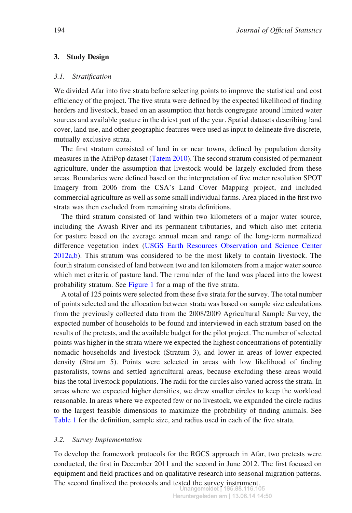# 3. Study Design

#### 3.1. Stratification

We divided Afar into five strata before selecting points to improve the statistical and cost efficiency of the project. The five strata were defined by the expected likelihood of finding herders and livestock, based on an assumption that herds congregate around limited water sources and available pasture in the driest part of the year. Spatial datasets describing land cover, land use, and other geographic features were used as input to delineate five discrete, mutually exclusive strata.

The first stratum consisted of land in or near towns, defined by population density measures in the AfriPop dataset (Tatem 2010). The second stratum consisted of permanent agriculture, under the assumption that livestock would be largely excluded from these areas. Boundaries were defined based on the interpretation of five meter resolution SPOT Imagery from 2006 from the CSA's Land Cover Mapping project, and included commercial agriculture as well as some small individual farms. Area placed in the first two strata was then excluded from remaining strata definitions.

The third stratum consisted of land within two kilometers of a major water source, including the Awash River and its permanent tributaries, and which also met criteria for pasture based on the average annual mean and range of the long-term normalized difference vegetation index (USGS Earth Resources Observation and Science Center 2012a,b). This stratum was considered to be the most likely to contain livestock. The fourth stratum consisted of land between two and ten kilometers from a major water source which met criteria of pasture land. The remainder of the land was placed into the lowest probability stratum. See Figure 1 for a map of the five strata.

A total of 125 points were selected from these five strata for the survey. The total number of points selected and the allocation between strata was based on sample size calculations from the previously collected data from the 2008/2009 Agricultural Sample Survey, the expected number of households to be found and interviewed in each stratum based on the results of the pretests, and the available budget for the pilot project. The number of selected points was higher in the strata where we expected the highest concentrations of potentially nomadic households and livestock (Stratum 3), and lower in areas of lower expected density (Stratum 5). Points were selected in areas with low likelihood of finding pastoralists, towns and settled agricultural areas, because excluding these areas would bias the total livestock populations. The radii for the circles also varied across the strata. In areas where we expected higher densities, we drew smaller circles to keep the workload reasonable. In areas where we expected few or no livestock, we expanded the circle radius to the largest feasible dimensions to maximize the probability of finding animals. See Table 1 for the definition, sample size, and radius used in each of the five strata.

### 3.2. Survey Implementation

To develop the framework protocols for the RGCS approach in Afar, two pretests were conducted, the first in December 2011 and the second in June 2012. The first focused on equipment and field practices and on qualitative research into seasonal migration patterns. The second finalized the protocols and tested the survey instrument.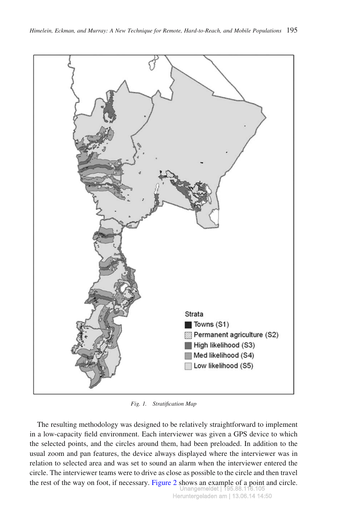

Fig. 1. Stratification Map

The resulting methodology was designed to be relatively straightforward to implement in a low-capacity field environment. Each interviewer was given a GPS device to which the selected points, and the circles around them, had been preloaded. In addition to the usual zoom and pan features, the device always displayed where the interviewer was in relation to selected area and was set to sound an alarm when the interviewer entered the circle. The interviewer teams were to drive as close as possible to the circle and then travel the rest of the way on foot, if necessary. Figure 2 shows an example of a point and circle. Unangemeldet | 195.88.1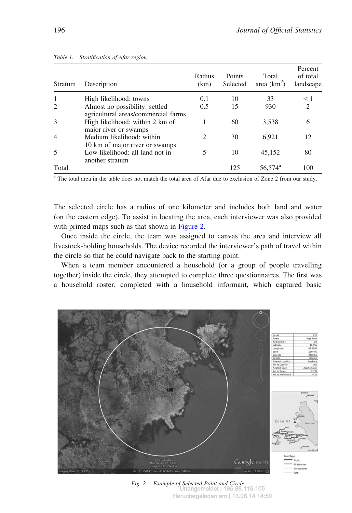| <b>Stratum</b> | Description                                                           | Radius<br>(km) | Points<br>Selected | Total<br>area $(km^2)$ | Percent<br>of total<br>landscape |
|----------------|-----------------------------------------------------------------------|----------------|--------------------|------------------------|----------------------------------|
|                | High likelihood: towns                                                | 0.1            | 10                 | 33                     | $\leq$ 1                         |
|                | Almost no possibility: settled<br>agricultural areas/commercial farms | 0.5            | 15                 | 930                    | $\mathfrak{D}$                   |
|                | High likelihood: within 2 km of<br>major river or swamps              |                | 60                 | 3,538                  | 6                                |
|                | Medium likelihood: within<br>10 km of major river or swamps           | 2              | 30                 | 6.921                  | 12                               |
|                | Low likelihood: all land not in<br>another stratum                    | 5              | 10                 | 45,152                 | 80                               |
| Total          |                                                                       |                | 125                | $56,574^{\rm a}$       | 100                              |

#### Table 1. Stratification of Afar region

<sup>a</sup> The total area in the table does not match the total area of Afar due to exclusion of Zone 2 from our study.

The selected circle has a radius of one kilometer and includes both land and water (on the eastern edge). To assist in locating the area, each interviewer was also provided with printed maps such as that shown in Figure 2.

Once inside the circle, the team was assigned to canvas the area and interview all livestock-holding households. The device recorded the interviewer's path of travel within the circle so that he could navigate back to the starting point.

When a team member encountered a household (or a group of people travelling together) inside the circle, they attempted to complete three questionnaires. The first was a household roster, completed with a household informant, which captured basic



Fig. 2. Example of Selected Point and Circle Unangemeldet | 195.88.116.105 Heruntergeladen am | 13.06.14 14:50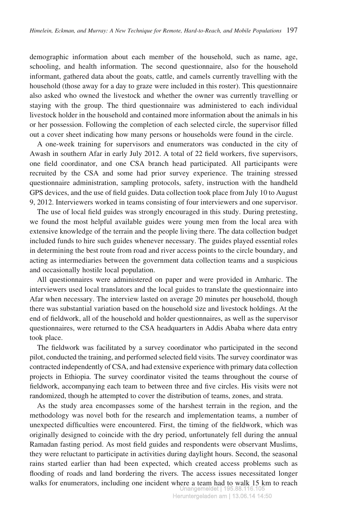demographic information about each member of the household, such as name, age, schooling, and health information. The second questionnaire, also for the household informant, gathered data about the goats, cattle, and camels currently travelling with the household (those away for a day to graze were included in this roster). This questionnaire also asked who owned the livestock and whether the owner was currently travelling or staying with the group. The third questionnaire was administered to each individual livestock holder in the household and contained more information about the animals in his or her possession. Following the completion of each selected circle, the supervisor filled out a cover sheet indicating how many persons or households were found in the circle.

A one-week training for supervisors and enumerators was conducted in the city of Awash in southern Afar in early July 2012. A total of 22 field workers, five supervisors, one field coordinator, and one CSA branch head participated. All participants were recruited by the CSA and some had prior survey experience. The training stressed questionnaire administration, sampling protocols, safety, instruction with the handheld GPS devices, and the use of field guides. Data collection took place from July 10 to August 9, 2012. Interviewers worked in teams consisting of four interviewers and one supervisor.

The use of local field guides was strongly encouraged in this study. During pretesting, we found the most helpful available guides were young men from the local area with extensive knowledge of the terrain and the people living there. The data collection budget included funds to hire such guides whenever necessary. The guides played essential roles in determining the best route from road and river access points to the circle boundary, and acting as intermediaries between the government data collection teams and a suspicious and occasionally hostile local population.

All questionnaires were administered on paper and were provided in Amharic. The interviewers used local translators and the local guides to translate the questionnaire into Afar when necessary. The interview lasted on average 20 minutes per household, though there was substantial variation based on the household size and livestock holdings. At the end of fieldwork, all of the household and holder questionnaires, as well as the supervisor questionnaires, were returned to the CSA headquarters in Addis Ababa where data entry took place.

The fieldwork was facilitated by a survey coordinator who participated in the second pilot, conducted the training, and performed selected field visits. The survey coordinator was contracted independently of CSA, and had extensive experience with primary data collection projects in Ethiopia. The survey coordinator visited the teams throughout the course of fieldwork, accompanying each team to between three and five circles. His visits were not randomized, though he attempted to cover the distribution of teams, zones, and strata.

As the study area encompasses some of the harshest terrain in the region, and the methodology was novel both for the research and implementation teams, a number of unexpected difficulties were encountered. First, the timing of the fieldwork, which was originally designed to coincide with the dry period, unfortunately fell during the annual Ramadan fasting period. As most field guides and respondents were observant Muslims, they were reluctant to participate in activities during daylight hours. Second, the seasonal rains started earlier than had been expected, which created access problems such as flooding of roads and land bordering the rivers. The access issues necessitated longer walks for enumerators, including one incident where a team had to walk 15 km to reach Unangemeldet | 195.88.116.105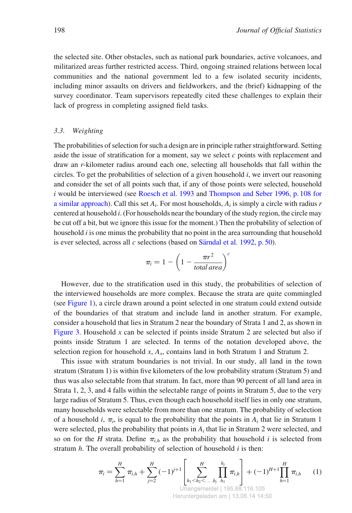the selected site. Other obstacles, such as national park boundaries, active volcanoes, and militarized areas further restricted access. Third, ongoing strained relations between local communities and the national government led to a few isolated security incidents, including minor assaults on drivers and fieldworkers, and the (brief) kidnapping of the survey coordinator. Team supervisors repeatedly cited these challenges to explain their lack of progress in completing assigned field tasks.

#### 3.3. Weighting

The probabilities of selection for such a design are in principle rather straightforward. Setting aside the issue of stratification for a moment, say we select  $c$  points with replacement and draw an r-kilometer radius around each one, selecting all households that fall within the circles. To get the probabilities of selection of a given household  $i$ , we invert our reasoning and consider the set of all points such that, if any of those points were selected, household i would be interviewed (see Roesch et al. 1993 and Thompson and Seber 1996, p. 108 for a similar approach). Call this set  $A_i$ . For most households,  $A_i$  is simply a circle with radius r centered at household i. (For households near the boundary of the study region, the circle may be cut off a bit, but we ignore this issue for the moment.) Then the probability of selection of household *i* is one minus the probability that no point in the area surrounding that household is ever selected, across all  $c$  selections (based on Särndal et al. 1992, p. 50).

$$
\pi_i = 1 - \left(1 - \frac{\pi r^2}{total\,area}\right)^c
$$

However, due to the stratification used in this study, the probabilities of selection of the interviewed households are more complex. Because the strata are quite commingled (see Figure 1), a circle drawn around a point selected in one stratum could extend outside of the boundaries of that stratum and include land in another stratum. For example, consider a household that lies in Stratum 2 near the boundary of Strata 1 and 2, as shown in Figure 3. Household  $x$  can be selected if points inside Stratum 2 are selected but also if points inside Stratum 1 are selected. In terms of the notation developed above, the selection region for household x,  $A_x$ , contains land in both Stratum 1 and Stratum 2.

This issue with stratum boundaries is not trivial. In our study, all land in the town stratum (Stratum 1) is within five kilometers of the low probability stratum (Stratum 5) and thus was also selectable from that stratum. In fact, more than 90 percent of all land area in Strata 1, 2, 3, and 4 falls within the selectable range of points in Stratum 5, due to the very large radius of Stratum 5. Thus, even though each household itself lies in only one stratum, many households were selectable from more than one stratum. The probability of selection of a household i,  $\pi_i$ , is equal to the probability that the points in  $A_i$  that lie in Stratum 1 were selected, plus the probability that points in  $A_i$  that lie in Stratum 2 were selected, and so on for the H strata. Define  $\pi_{i,h}$  as the probability that household i is selected from stratum  $h$ . The overall probability of selection of household  $i$  is then:

$$
\pi_i = \sum_{h=1}^H \pi_{i,h} + \sum_{j=2}^H (-1)^{j+1} \left[ \sum_{\substack{h_1 < h_2 < \dots & h_j \ h_1 \\ \text{Unangemeldet} \mid 195.88.116.105} \pi_{i,h} \right] + (-1)^{H+1} \prod_{h=1}^H \pi_{i,h} \tag{1}
$$

Heruntergeladen am | 13.06.14 14:50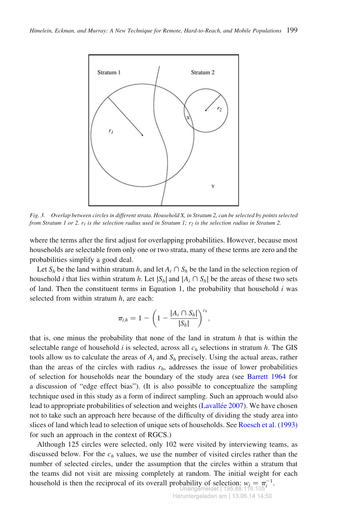

Fig. 3. Overlap between circles in different strata. Household X, in Stratum 2, can be selected by points selected from Stratum 1 or 2.  $r_1$  is the selection radius used in Stratum 1;  $r_2$  is the selection radius in Stratum 2.

where the terms after the first adjust for overlapping probabilities. However, because most households are selectable from only one or two strata, many of these terms are zero and the probabilities simplify a good deal.

Let  $S_h$  be the land within stratum h, and let  $A_i \cap S_h$  be the land in the selection region of household *i* that lies within stratum h. Let  $|S_h|$  and  $|A_i \cap S_h|$  be the areas of these two sets of land. Then the constituent terms in Equation 1, the probability that household  $i$  was selected from within stratum  $h$ , are each:

$$
\pi_{i,h}=1-\left(1-\frac{|A_i\cap S_h|}{|S_h|}\right)^{c_h},\,
$$

that is, one minus the probability that none of the land in stratum  $h$  that is within the selectable range of household i is selected, across all  $c_h$  selections in stratum h. The GIS tools allow us to calculate the areas of  $A_i$  and  $S_h$  precisely. Using the actual areas, rather than the areas of the circles with radius  $r_h$ , addresses the issue of lower probabilities of selection for households near the boundary of the study area (see Barrett 1964 for a discussion of "edge effect bias"). (It is also possible to conceptualize the sampling technique used in this study as a form of indirect sampling. Such an approach would also lead to appropriate probabilities of selection and weights (Lavallée 2007). We have chosen not to take such an approach here because of the difficulty of dividing the study area into slices of land which lead to selection of unique sets of households. See Roesch et al. (1993) for such an approach in the context of RGCS.)

Although 125 circles were selected, only 102 were visited by interviewing teams, as discussed below. For the  $c<sub>b</sub>$  values, we use the number of visited circles rather than the number of selected circles, under the assumption that the circles within a stratum that the teams did not visit are missing completely at random. The initial weight for each household is then the reciprocal of its overall probability of selection:  $w_i = \pi_i^{-1}$ .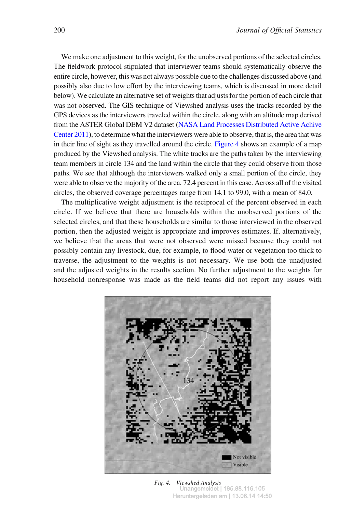We make one adjustment to this weight, for the unobserved portions of the selected circles. The fieldwork protocol stipulated that interviewer teams should systematically observe the entire circle, however, this was not always possible due to the challenges discussed above (and possibly also due to low effort by the interviewing teams, which is discussed in more detail below). We calculate an alternative set of weights that adjusts for the portion of each circle that was not observed. The GIS technique of Viewshed analysis uses the tracks recorded by the GPS devices as the interviewers traveled within the circle, along with an altitude map derived from the ASTER Global DEM V2 dataset (NASA Land Processes Distributed Active Achive Center 2011), to determine what the interviewers were able to observe, that is, the area that was in their line of sight as they travelled around the circle. Figure 4 shows an example of a map produced by the Viewshed analysis. The white tracks are the paths taken by the interviewing team members in circle 134 and the land within the circle that they could observe from those paths. We see that although the interviewers walked only a small portion of the circle, they were able to observe the majority of the area, 72.4 percent in this case. Across all of the visited circles, the observed coverage percentages range from 14.1 to 99.0, with a mean of 84.0.

The multiplicative weight adjustment is the reciprocal of the percent observed in each circle. If we believe that there are households within the unobserved portions of the selected circles, and that these households are similar to those interviewed in the observed portion, then the adjusted weight is appropriate and improves estimates. If, alternatively, we believe that the areas that were not observed were missed because they could not possibly contain any livestock, due, for example, to flood water or vegetation too thick to traverse, the adjustment to the weights is not necessary. We use both the unadjusted and the adjusted weights in the results section. No further adjustment to the weights for household nonresponse was made as the field teams did not report any issues with



Fig. 4. Viewshed Analysis Unangemeldet | 195.88.116.105 Heruntergeladen am | 13.06.14 14:50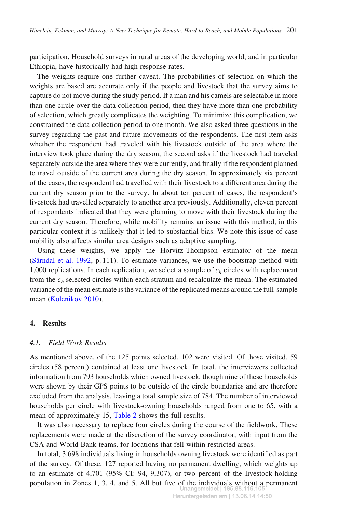participation. Household surveys in rural areas of the developing world, and in particular Ethiopia, have historically had high response rates.

The weights require one further caveat. The probabilities of selection on which the weights are based are accurate only if the people and livestock that the survey aims to capture do not move during the study period. If a man and his camels are selectable in more than one circle over the data collection period, then they have more than one probability of selection, which greatly complicates the weighting. To minimize this complication, we constrained the data collection period to one month. We also asked three questions in the survey regarding the past and future movements of the respondents. The first item asks whether the respondent had traveled with his livestock outside of the area where the interview took place during the dry season, the second asks if the livestock had traveled separately outside the area where they were currently, and finally if the respondent planned to travel outside of the current area during the dry season. In approximately six percent of the cases, the respondent had travelled with their livestock to a different area during the current dry season prior to the survey. In about ten percent of cases, the respondent's livestock had travelled separately to another area previously. Additionally, eleven percent of respondents indicated that they were planning to move with their livestock during the current dry season. Therefore, while mobility remains an issue with this method, in this particular context it is unlikely that it led to substantial bias. We note this issue of case mobility also affects similar area designs such as adaptive sampling.

Using these weights, we apply the Horvitz-Thompson estimator of the mean (Särndal et al. 1992, p. 111). To estimate variances, we use the bootstrap method with 1,000 replications. In each replication, we select a sample of  $c<sub>h</sub>$  circles with replacement from the  $c_h$  selected circles within each stratum and recalculate the mean. The estimated variance of the mean estimate is the variance of the replicated means around the full-sample mean (Kolenikov 2010).

## 4. Results

## 4.1. Field Work Results

As mentioned above, of the 125 points selected, 102 were visited. Of those visited, 59 circles (58 percent) contained at least one livestock. In total, the interviewers collected information from 793 households which owned livestock, though nine of these households were shown by their GPS points to be outside of the circle boundaries and are therefore excluded from the analysis, leaving a total sample size of 784. The number of interviewed households per circle with livestock-owning households ranged from one to 65, with a mean of approximately 15, Table 2 shows the full results.

It was also necessary to replace four circles during the course of the fieldwork. These replacements were made at the discretion of the survey coordinator, with input from the CSA and World Bank teams, for locations that fell within restricted areas.

In total, 3,698 individuals living in households owning livestock were identified as part of the survey. Of these, 127 reported having no permanent dwelling, which weights up to an estimate of 4,701 (95% CI: 94, 9,307), or two percent of the livestock-holding population in Zones 1, 3, 4, and 5. All but five of the individuals without a permanent Unangemeldet | 195.88.116.105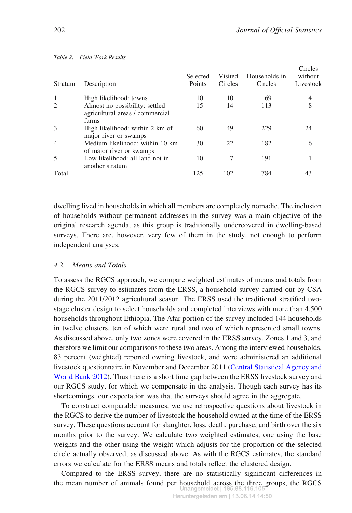| Stratum                     | Description                                                                | Selected<br>Points | Visited<br>Circles | Households in<br>Circles | Circles<br>without<br>Livestock |
|-----------------------------|----------------------------------------------------------------------------|--------------------|--------------------|--------------------------|---------------------------------|
| 1                           | High likelihood: towns                                                     | 10                 | 10                 | 69                       |                                 |
| $\mathcal{D}_{\mathcal{L}}$ | Almost no possibility: settled<br>agricultural areas / commercial<br>farms | 15                 | 14                 | 113                      |                                 |
| 3                           | High likelihood: within 2 km of<br>major river or swamps                   | 60                 | 49                 | 229                      | 24                              |
| $\overline{4}$              | Medium likelihood: within 10 km<br>of major river or swamps                | 30                 | 22.                | 182                      | 6                               |
|                             | Low likelihood: all land not in<br>another stratum                         | 10                 |                    | 191                      |                                 |
| Total                       |                                                                            | 125                | 102                | 784                      | 43                              |

Table 2. Field Work Results

dwelling lived in households in which all members are completely nomadic. The inclusion of households without permanent addresses in the survey was a main objective of the original research agenda, as this group is traditionally undercovered in dwelling-based surveys. There are, however, very few of them in the study, not enough to perform independent analyses.

# 4.2. Means and Totals

To assess the RGCS approach, we compare weighted estimates of means and totals from the RGCS survey to estimates from the ERSS, a household survey carried out by CSA during the 2011/2012 agricultural season. The ERSS used the traditional stratified twostage cluster design to select households and completed interviews with more than 4,500 households throughout Ethiopia. The Afar portion of the survey included 144 households in twelve clusters, ten of which were rural and two of which represented small towns. As discussed above, only two zones were covered in the ERSS survey, Zones 1 and 3, and therefore we limit our comparisons to these two areas. Among the interviewed households, 83 percent (weighted) reported owning livestock, and were administered an additional livestock questionnaire in November and December 2011 (Central Statistical Agency and World Bank 2012). Thus there is a short time gap between the ERSS livestock survey and our RGCS study, for which we compensate in the analysis. Though each survey has its shortcomings, our expectation was that the surveys should agree in the aggregate.

To construct comparable measures, we use retrospective questions about livestock in the RGCS to derive the number of livestock the household owned at the time of the ERSS survey. These questions account for slaughter, loss, death, purchase, and birth over the six months prior to the survey. We calculate two weighted estimates, one using the base weights and the other using the weight which adjusts for the proportion of the selected circle actually observed, as discussed above. As with the RGCS estimates, the standard errors we calculate for the ERSS means and totals reflect the clustered design.

Compared to the ERSS survey, there are no statistically significant differences in the mean number of animals found per household across the three groups, the RGCS Unangemeldet | 195.88.116.105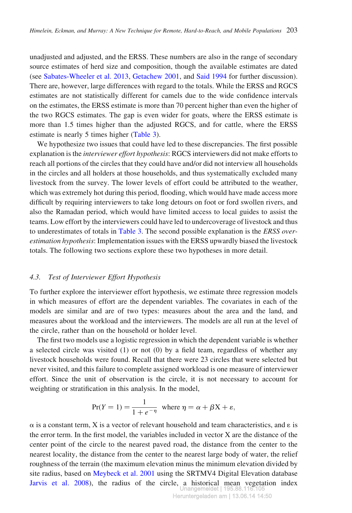unadjusted and adjusted, and the ERSS. These numbers are also in the range of secondary source estimates of herd size and composition, though the available estimates are dated (see Sabates-Wheeler et al. 2013, Getachew 2001, and Said 1994 for further discussion). There are, however, large differences with regard to the totals. While the ERSS and RGCS estimates are not statistically different for camels due to the wide confidence intervals on the estimates, the ERSS estimate is more than 70 percent higher than even the higher of the two RGCS estimates. The gap is even wider for goats, where the ERSS estimate is more than 1.5 times higher than the adjusted RGCS, and for cattle, where the ERSS estimate is nearly 5 times higher (Table 3).

We hypothesize two issues that could have led to these discrepancies. The first possible explanation is the interviewer effort hypothesis: RGCS interviewers did not make efforts to reach all portions of the circles that they could have and/or did not interview all households in the circles and all holders at those households, and thus systematically excluded many livestock from the survey. The lower levels of effort could be attributed to the weather, which was extremely hot during this period, flooding, which would have made access more difficult by requiring interviewers to take long detours on foot or ford swollen rivers, and also the Ramadan period, which would have limited access to local guides to assist the teams. Low effort by the interviewers could have led to undercoverage of livestock and thus to underestimates of totals in Table 3. The second possible explanation is the ERSS overestimation hypothesis: Implementation issues with the ERSS upwardly biased the livestock totals. The following two sections explore these two hypotheses in more detail.

#### 4.3. Test of Interviewer Effort Hypothesis

To further explore the interviewer effort hypothesis, we estimate three regression models in which measures of effort are the dependent variables. The covariates in each of the models are similar and are of two types: measures about the area and the land, and measures about the workload and the interviewers. The models are all run at the level of the circle, rather than on the household or holder level.

The first two models use a logistic regression in which the dependent variable is whether a selected circle was visited (1) or not (0) by a field team, regardless of whether any livestock households were found. Recall that there were 23 circles that were selected but never visited, and this failure to complete assigned workload is one measure of interviewer effort. Since the unit of observation is the circle, it is not necessary to account for weighting or stratification in this analysis. In the model,

$$
Pr(Y = 1) = \frac{1}{1 + e^{-\eta}}
$$
 where  $\eta = \alpha + \beta X + \varepsilon$ ,

 $\alpha$  is a constant term, X is a vector of relevant household and team characteristics, and  $\epsilon$  is the error term. In the first model, the variables included in vector X are the distance of the center point of the circle to the nearest paved road, the distance from the center to the nearest locality, the distance from the center to the nearest large body of water, the relief roughness of the terrain (the maximum elevation minus the minimum elevation divided by site radius, based on Meybeck et al. 2001 using the SRTMV4 Digital Elevation database Jarvis et al. 2008), the radius of the circle, a historical mean vegetation index Inangemeldet | 195.8१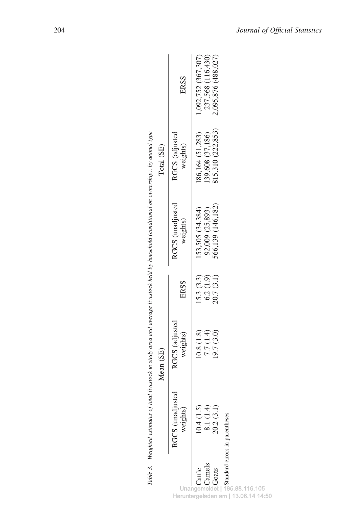|                           | Table 3. Weighted estimates of total livestock in study area and average livestock held by household (conditional on ownership), by animal type |                                     |                                     |                                                          |                                                           |                                                                 |
|---------------------------|-------------------------------------------------------------------------------------------------------------------------------------------------|-------------------------------------|-------------------------------------|----------------------------------------------------------|-----------------------------------------------------------|-----------------------------------------------------------------|
|                           |                                                                                                                                                 | Mean (SE)                           |                                     |                                                          | Total (SE)                                                |                                                                 |
|                           | RGCS (unadjusted<br>weights)                                                                                                                    | RGCS (adjusted<br>weights)          | ERSS                                | RGCS (unadjusted<br>weights)                             | RGCS (adjusted<br>weights)                                | ERSS                                                            |
| Camels<br>Cattle<br>Goats | 10.4(1.5)<br>8.1 (1.4)<br>20.2(3.1)<br>Standard errors in parentheses                                                                           | (0.8(1.8)<br>(9.7(3.0)<br>7.7 (1.4) | 15.3(3.3)<br>6.2(1.9)<br>20.7 (3.1) | 566,139 (146,182)<br>92,009 (25,893)<br>(53,505)(34,384) | 815,310 (222,853)<br>139,608 (37,186)<br>186,164 (51,283) | 1,092,752 (367,307)<br>237,568 (116,430)<br>2,095,876 (488,027) |
|                           |                                                                                                                                                 |                                     |                                     |                                                          |                                                           |                                                                 |

Unangemeldet | 195.88.116.105 Heruntergeladen am | 13.06.14 14:50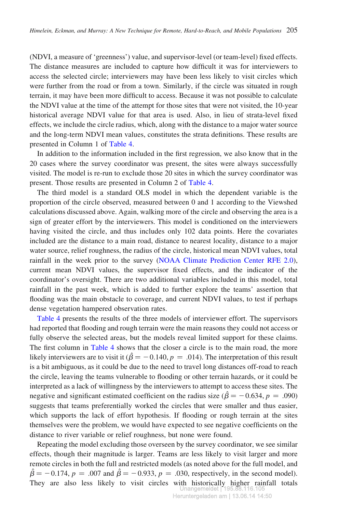(NDVI, a measure of 'greenness') value, and supervisor-level (or team-level) fixed effects. The distance measures are included to capture how difficult it was for interviewers to access the selected circle; interviewers may have been less likely to visit circles which were further from the road or from a town. Similarly, if the circle was situated in rough terrain, it may have been more difficult to access. Because it was not possible to calculate the NDVI value at the time of the attempt for those sites that were not visited, the 10-year historical average NDVI value for that area is used. Also, in lieu of strata-level fixed effects, we include the circle radius, which, along with the distance to a major water source and the long-term NDVI mean values, constitutes the strata definitions. These results are presented in Column 1 of Table 4.

In addition to the information included in the first regression, we also know that in the 20 cases where the survey coordinator was present, the sites were always successfully visited. The model is re-run to exclude those 20 sites in which the survey coordinator was present. Those results are presented in Column 2 of Table 4.

The third model is a standard OLS model in which the dependent variable is the proportion of the circle observed, measured between 0 and 1 according to the Viewshed calculations discussed above. Again, walking more of the circle and observing the area is a sign of greater effort by the interviewers. This model is conditioned on the interviewers having visited the circle, and thus includes only 102 data points. Here the covariates included are the distance to a main road, distance to nearest locality, distance to a major water source, relief roughness, the radius of the circle, historical mean NDVI values, total rainfall in the week prior to the survey (NOAA Climate Prediction Center RFE 2.0), current mean NDVI values, the supervisor fixed effects, and the indicator of the coordinator's oversight. There are two additional variables included in this model, total rainfall in the past week, which is added to further explore the teams' assertion that flooding was the main obstacle to coverage, and current NDVI values, to test if perhaps dense vegetation hampered observation rates.

Table 4 presents the results of the three models of interviewer effort. The supervisors had reported that flooding and rough terrain were the main reasons they could not access or fully observe the selected areas, but the models reveal limited support for these claims. The first column in Table 4 shows that the closer a circle is to the main road, the more likely interviewers are to visit it ( $\hat{\beta} = -0.140, p = .014$ ). The interpretation of this result is a bit ambiguous, as it could be due to the need to travel long distances off-road to reach the circle, leaving the teams vulnerable to flooding or other terrain hazards, or it could be interpreted as a lack of willingness by the interviewers to attempt to access these sites. The negative and significant estimated coefficient on the radius size ( $\hat{\beta} = -0.634$ , p = .090) suggests that teams preferentially worked the circles that were smaller and thus easier, which supports the lack of effort hypothesis. If flooding or rough terrain at the sites themselves were the problem, we would have expected to see negative coefficients on the distance to river variable or relief roughness, but none were found.

Repeating the model excluding those overseen by the survey coordinator, we see similar effects, though their magnitude is larger. Teams are less likely to visit larger and more remote circles in both the full and restricted models (as noted above for the full model, and  $\hat{\beta} = -0.174$ ,  $p = .007$  and  $\hat{\beta} = -0.933$ ,  $p = .030$ , respectively, in the second model). They are also less likely to visit circles with historically higher rainfall totals Unangemeldet | 195.88.116.105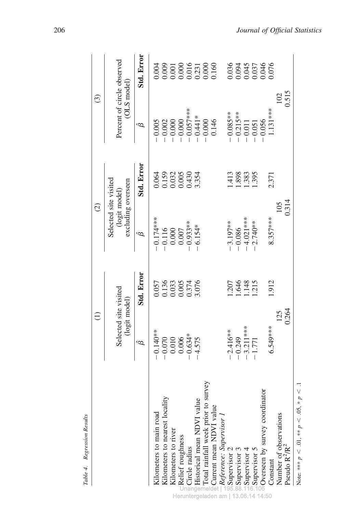|                                                 |                                                         | $\widehat{\Xi}$                                                                            |                                                              | $\widehat{c}$                                       |                                                                            | $\widehat{c}$                                                                                       |
|-------------------------------------------------|---------------------------------------------------------|--------------------------------------------------------------------------------------------|--------------------------------------------------------------|-----------------------------------------------------|----------------------------------------------------------------------------|-----------------------------------------------------------------------------------------------------|
|                                                 | Selected site visited<br>(logit model)                  |                                                                                            | Selected site visited<br>excluding overseen<br>(logit model) |                                                     | (OLS model)                                                                | Percent of circle observed                                                                          |
|                                                 | ĝ                                                       | Std. Error                                                                                 | ĝ                                                            | Std. Error                                          | ĝ                                                                          | Std. Error                                                                                          |
| Kilometers to main road                         | $-0.140**$                                              |                                                                                            | $-0.174***$<br>$-0.116$<br>0.000<br>0.007<br>0.007           |                                                     |                                                                            | 0.004                                                                                               |
| Kilometers to nearest locality                  |                                                         |                                                                                            |                                                              |                                                     |                                                                            |                                                                                                     |
| Kilometers to river                             |                                                         |                                                                                            |                                                              |                                                     |                                                                            |                                                                                                     |
| Relief roughness                                | $-0.070$<br>$0.010$<br>$0.006$<br>$-0.634*$<br>$-4.575$ | $\begin{array}{c} 0.057 \\ 0.136 \\ 0.033 \\ 0.005 \\ 0.374 \\ 1.376 \\ 3.076 \end{array}$ |                                                              | 0.064<br>0.159<br>0.032<br>0.0430<br>0.430<br>3.354 |                                                                            |                                                                                                     |
| n Circle radius                                 |                                                         |                                                                                            |                                                              |                                                     |                                                                            |                                                                                                     |
| Historical mean NDVI value                      |                                                         |                                                                                            | $6.154*$                                                     |                                                     | $-0.005$<br>$-0.002$<br>$-0.000$<br>$-0.000$<br>$-0.057$ ***<br>$-0.441$ * |                                                                                                     |
| Total rainfall week prior to survey             |                                                         |                                                                                            |                                                              |                                                     | $-0.000$<br>0.146                                                          | $\begin{array}{r} 0.009 \\ 0.001 \\ 0.000 \\ 0.016 \\ 0.016 \\ 0.000 \\ 0.000 \\ 0.160 \end{array}$ |
| Current mean NDVI value                         |                                                         |                                                                                            |                                                              |                                                     |                                                                            |                                                                                                     |
| Reference: Supervisor 1                         |                                                         |                                                                                            |                                                              |                                                     |                                                                            |                                                                                                     |
| Supervisor 2                                    | $-2.416**$                                              |                                                                                            |                                                              | .413                                                |                                                                            |                                                                                                     |
|                                                 | $-0.249$                                                | 1307<br>1448<br>1215                                                                       | $-3.197***$<br>$-0.086$<br>$-4.021***$<br>$-2.740***$        | 1.898<br>1.383<br>1.395                             |                                                                            |                                                                                                     |
|                                                 | $-3.211***$<br>$-1.771$                                 |                                                                                            |                                                              |                                                     |                                                                            |                                                                                                     |
| ®Supervisor 3<br>≛Supervisor 4<br>®Supervisor 5 |                                                         |                                                                                            |                                                              |                                                     |                                                                            |                                                                                                     |
| Overseen by survey coordinator                  |                                                         |                                                                                            |                                                              |                                                     | $-0.085**$<br>$-0.215**$<br>$-0.011$<br>$-0.051$<br>$-0.056$               | 0.036<br>0.045<br>0.045<br>0.037<br>0.046                                                           |
| Constant                                        | 6.549***                                                | 1.912                                                                                      | $8.357***$                                                   | 2.371                                               | $1.131***$                                                                 |                                                                                                     |
| Number of observations<br>Pseudo $R^2/R^2$      |                                                         | 125                                                                                        |                                                              | 105                                                 |                                                                            | 102                                                                                                 |
|                                                 | 0.264                                                   |                                                                                            | 0.314                                                        |                                                     |                                                                            | 0.515                                                                                               |
| Note: *** $p < .01$ , ** $p < .05$ , * $p < .$  |                                                         |                                                                                            |                                                              |                                                     |                                                                            |                                                                                                     |

Table 4. Regression Results Table 4. Regression Results

Heruntergeladen am | 13.06.14 14:50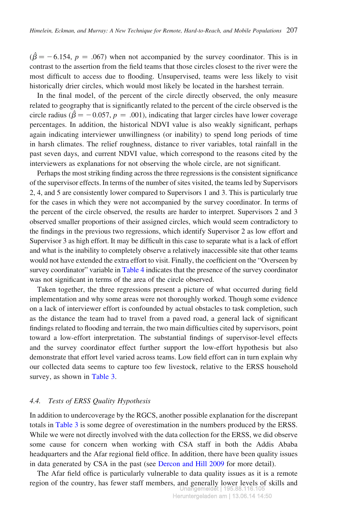$(\hat{\beta} = -6.154, p = .067)$  when not accompanied by the survey coordinator. This is in contrast to the assertion from the field teams that those circles closest to the river were the most difficult to access due to flooding. Unsupervised, teams were less likely to visit historically drier circles, which would most likely be located in the harshest terrain.

In the final model, of the percent of the circle directly observed, the only measure related to geography that is significantly related to the percent of the circle observed is the circle radius ( $\hat{\beta} = -0.057$ ,  $p = .001$ ), indicating that larger circles have lower coverage percentages. In addition, the historical NDVI value is also weakly significant, perhaps again indicating interviewer unwillingness (or inability) to spend long periods of time in harsh climates. The relief roughness, distance to river variables, total rainfall in the past seven days, and current NDVI value, which correspond to the reasons cited by the interviewers as explanations for not observing the whole circle, are not significant.

Perhaps the most striking finding across the three regressions is the consistent significance of the supervisor effects. In terms of the number of sites visited, the teams led by Supervisors 2, 4, and 5 are consistently lower compared to Supervisors 1 and 3. This is particularly true for the cases in which they were not accompanied by the survey coordinator. In terms of the percent of the circle observed, the results are harder to interpret. Supervisors 2 and 3 observed smaller proportions of their assigned circles, which would seem contradictory to the findings in the previous two regressions, which identify Supervisor 2 as low effort and Supervisor 3 as high effort. It may be difficult in this case to separate what is a lack of effort and what is the inability to completely observe a relatively inaccessible site that other teams would not have extended the extra effort to visit. Finally, the coefficient on the "Overseen by survey coordinator" variable in Table 4 indicates that the presence of the survey coordinator was not significant in terms of the area of the circle observed.

Taken together, the three regressions present a picture of what occurred during field implementation and why some areas were not thoroughly worked. Though some evidence on a lack of interviewer effort is confounded by actual obstacles to task completion, such as the distance the team had to travel from a paved road, a general lack of significant findings related to flooding and terrain, the two main difficulties cited by supervisors, point toward a low-effort interpretation. The substantial findings of supervisor-level effects and the survey coordinator effect further support the low-effort hypothesis but also demonstrate that effort level varied across teams. Low field effort can in turn explain why our collected data seems to capture too few livestock, relative to the ERSS household survey, as shown in Table 3.

## 4.4. Tests of ERSS Quality Hypothesis

In addition to undercoverage by the RGCS, another possible explanation for the discrepant totals in Table 3 is some degree of overestimation in the numbers produced by the ERSS. While we were not directly involved with the data collection for the ERSS, we did observe some cause for concern when working with CSA staff in both the Addis Ababa headquarters and the Afar regional field office. In addition, there have been quality issues in data generated by CSA in the past (see Dercon and Hill 2009 for more detail).

The Afar field office is particularly vulnerable to data quality issues as it is a remote region of the country, has fewer staff members, and generally lower levels of skills and Unangemeldet | 195.88.116.105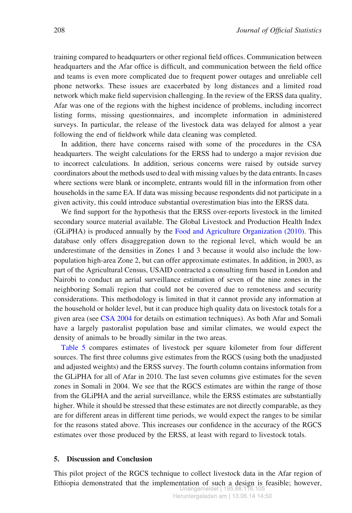training compared to headquarters or other regional field offices. Communication between headquarters and the Afar office is difficult, and communication between the field office and teams is even more complicated due to frequent power outages and unreliable cell phone networks. These issues are exacerbated by long distances and a limited road network which make field supervision challenging. In the review of the ERSS data quality, Afar was one of the regions with the highest incidence of problems, including incorrect listing forms, missing questionnaires, and incomplete information in administered surveys. In particular, the release of the livestock data was delayed for almost a year following the end of fieldwork while data cleaning was completed.

In addition, there have concerns raised with some of the procedures in the CSA headquarters. The weight calculations for the ERSS had to undergo a major revision due to incorrect calculations. In addition, serious concerns were raised by outside survey coordinators about the methods used to deal with missing values by the data entrants. In cases where sections were blank or incomplete, entrants would fill in the information from other households in the same EA. If data was missing because respondents did not participate in a given activity, this could introduce substantial overestimation bias into the ERSS data.

We find support for the hypothesis that the ERSS over-reports livestock in the limited secondary source material available. The Global Livestock and Production Health Index (GLiPHA) is produced annually by the Food and Agriculture Organization (2010). This database only offers disaggregation down to the regional level, which would be an underestimate of the densities in Zones 1 and 3 because it would also include the lowpopulation high-area Zone 2, but can offer approximate estimates. In addition, in 2003, as part of the Agricultural Census, USAID contracted a consulting firm based in London and Nairobi to conduct an aerial surveillance estimation of seven of the nine zones in the neighboring Somali region that could not be covered due to remoteness and security considerations. This methodology is limited in that it cannot provide any information at the household or holder level, but it can produce high quality data on livestock totals for a given area (see CSA 2004 for details on estimation techniques). As both Afar and Somali have a largely pastoralist population base and similar climates, we would expect the density of animals to be broadly similar in the two areas.

Table 5 compares estimates of livestock per square kilometer from four different sources. The first three columns give estimates from the RGCS (using both the unadjusted and adjusted weights) and the ERSS survey. The fourth column contains information from the GLiPHA for all of Afar in 2010. The last seven columns give estimates for the seven zones in Somali in 2004. We see that the RGCS estimates are within the range of those from the GLiPHA and the aerial surveillance, while the ERSS estimates are substantially higher. While it should be stressed that these estimates are not directly comparable, as they are for different areas in different time periods, we would expect the ranges to be similar for the reasons stated above. This increases our confidence in the accuracy of the RGCS estimates over those produced by the ERSS, at least with regard to livestock totals.

## 5. Discussion and Conclusion

This pilot project of the RGCS technique to collect livestock data in the Afar region of Ethiopia demonstrated that the implementation of such a design is feasible; however, Unangemeldet | 195.88.116.105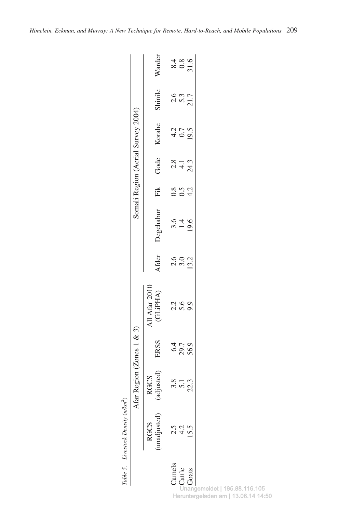| vkm <sup>2</sup>      |
|-----------------------|
| ensit<br>$\mathbf{r}$ |
| estocr<br>ίY          |
| t.<br>Table           |

|              |                           | Afar I                   | Region (Zones 1 & 3) |                                 |                               |                  |                     |                      | Somali Region (Aerial Survey 2004) |                          |                                                  |
|--------------|---------------------------|--------------------------|----------------------|---------------------------------|-------------------------------|------------------|---------------------|----------------------|------------------------------------|--------------------------|--------------------------------------------------|
|              | madjusted)<br><b>RGCS</b> | ljusted)<br>SOD,         | ERSS                 | All Afar 2010<br>(GLiPHA)       | Afder                         | Degehabur        | Fik                 | Gode                 | Korahe                             | Shinile                  | Warder                                           |
| Camels       |                           |                          |                      |                                 |                               |                  |                     |                      |                                    |                          |                                                  |
| Cattle       |                           | $3.3$<br>$5.1$<br>$22.3$ | 69.9<br>09.7<br>09.9 | 2<br>2<br>2<br>2<br>2<br>2<br>2 | 0 0 0 1<br>0 1 0 1<br>1 1 0 1 | $3.4$<br>$-19.6$ | 8<br>0 9 4<br>0 9 4 | $28 - 3$<br>$24 - 3$ | $40.5$<br>$19.5$                   | $2.5$<br>$5.3$<br>$21.7$ | $\begin{array}{c} 8.4 \\ 0.8 \\ 0.5 \end{array}$ |
| <b>Goats</b> |                           |                          |                      |                                 |                               |                  |                     |                      |                                    |                          |                                                  |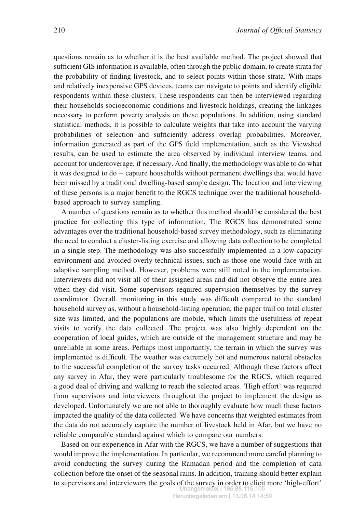questions remain as to whether it is the best available method. The project showed that sufficient GIS information is available, often through the public domain, to create strata for the probability of finding livestock, and to select points within those strata. With maps and relatively inexpensive GPS devices, teams can navigate to points and identify eligible respondents within these clusters. These respondents can then be interviewed regarding their households socioeconomic conditions and livestock holdings, creating the linkages necessary to perform poverty analysis on these populations. In addition, using standard statistical methods, it is possible to calculate weights that take into account the varying probabilities of selection and sufficiently address overlap probabilities. Moreover, information generated as part of the GPS field implementation, such as the Viewshed results, can be used to estimate the area observed by individual interview teams, and account for undercoverage, if necessary. And finally, the methodology was able to do what it was designed to do – capture households without permanent dwellings that would have been missed by a traditional dwelling-based sample design. The location and interviewing of these persons is a major benefit to the RGCS technique over the traditional householdbased approach to survey sampling.

A number of questions remain as to whether this method should be considered the best practice for collecting this type of information. The RGCS has demonstrated some advantages over the traditional household-based survey methodology, such as eliminating the need to conduct a cluster-listing exercise and allowing data collection to be completed in a single step. The methodology was also successfully implemented in a low-capacity environment and avoided overly technical issues, such as those one would face with an adaptive sampling method. However, problems were still noted in the implementation. Interviewers did not visit all of their assigned areas and did not observe the entire area when they did visit. Some supervisors required supervision themselves by the survey coordinator. Overall, monitoring in this study was difficult compared to the standard household survey as, without a household-listing operation, the paper trail on total cluster size was limited, and the populations are mobile, which limits the usefulness of repeat visits to verify the data collected. The project was also highly dependent on the cooperation of local guides, which are outside of the management structure and may be unreliable in some areas. Perhaps most importantly, the terrain in which the survey was implemented is difficult. The weather was extremely hot and numerous natural obstacles to the successful completion of the survey tasks occurred. Although these factors affect any survey in Afar, they were particularly troublesome for the RGCS, which required a good deal of driving and walking to reach the selected areas. 'High effort' was required from supervisors and interviewers throughout the project to implement the design as developed. Unfortunately we are not able to thoroughly evaluate how much these factors impacted the quality of the data collected. We have concerns that weighted estimates from the data do not accurately capture the number of livestock held in Afar, but we have no reliable comparable standard against which to compare our numbers.

Based on our experience in Afar with the RGCS, we have a number of suggestions that would improve the implementation. In particular, we recommend more careful planning to avoid conducting the survey during the Ramadan period and the completion of data collection before the onset of the seasonal rains. In addition, training should better explain to supervisors and interviewers the goals of the survey in order to elicit more 'high-effort' Unangemeldet | 195.88.116.105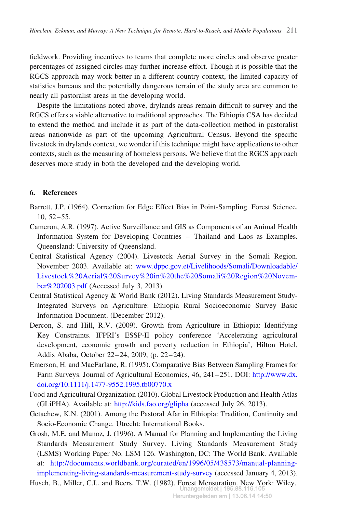fieldwork. Providing incentives to teams that complete more circles and observe greater percentages of assigned circles may further increase effort. Though it is possible that the RGCS approach may work better in a different country context, the limited capacity of statistics bureaus and the potentially dangerous terrain of the study area are common to nearly all pastoralist areas in the developing world.

Despite the limitations noted above, drylands areas remain difficult to survey and the RGCS offers a viable alternative to traditional approaches. The Ethiopia CSA has decided to extend the method and include it as part of the data-collection method in pastoralist areas nationwide as part of the upcoming Agricultural Census. Beyond the specific livestock in drylands context, we wonder if this technique might have applications to other contexts, such as the measuring of homeless persons. We believe that the RGCS approach deserves more study in both the developed and the developing world.

# 6. References

- Barrett, J.P. (1964). Correction for Edge Effect Bias in Point-Sampling. Forest Science, 10, 52–55.
- Cameron, A.R. (1997). Active Surveillance and GIS as Components of an Animal Health Information System for Developing Countries – Thailand and Laos as Examples. Queensland: University of Queensland.
- Central Statistical Agency (2004). Livestock Aerial Survey in the Somali Region. November 2003. Available at: [www.dppc.gov.et/Livelihoods/Somali/Downloadable/](http://www.dppc.gov.et/Livelihoods/Somali/Downloadable/Livestock%20Aerial%20Survey%20in%20the%20Somali%20Region%20November%202003.pdf) [Livestock%20Aerial%20Survey%20in%20the%20Somali%20Region%20Novem](http://www.dppc.gov.et/Livelihoods/Somali/Downloadable/Livestock%20Aerial%20Survey%20in%20the%20Somali%20Region%20November%202003.pdf)[ber%202003.pdf](http://www.dppc.gov.et/Livelihoods/Somali/Downloadable/Livestock%20Aerial%20Survey%20in%20the%20Somali%20Region%20November%202003.pdf) (Accessed July 3, 2013).
- Central Statistical Agency & World Bank (2012). Living Standards Measurement Study-Integrated Surveys on Agriculture: Ethiopia Rural Socioeconomic Survey Basic Information Document. (December 2012).
- Dercon, S. and Hill, R.V. (2009). Growth from Agriculture in Ethiopia: Identifying Key Constraints. IFPRI's ESSP-II policy conference 'Accelerating agricultural development, economic growth and poverty reduction in Ethiopia', Hilton Hotel, Addis Ababa, October 22–24, 2009, (p. 22–24).
- Emerson, H. and MacFarlane, R. (1995). Comparative Bias Between Sampling Frames for Farm Surveys. Journal of Agricultural Economics, 46, 241–251. DOI: [http://www.dx.](http://www.dx.doi.org/10.1111/j.1477-9552.1995.tb00770.x) [doi.org/10.1111/j.1477-9552.1995.tb00770.x](http://www.dx.doi.org/10.1111/j.1477-9552.1995.tb00770.x)
- Food and Agricultural Organization (2010). Global Livestock Production and Health Atlas (GLiPHA). Available at: <http://kids.fao.org/glipha> (accessed July 26, 2013).
- Getachew, K.N. (2001). Among the Pastoral Afar in Ethiopia: Tradition, Continuity and Socio-Economic Change. Utrecht: International Books.
- Grosh, M.E. and Munoz, J. (1996). A Manual for Planning and Implementing the Living Standards Measurement Study Survey. Living Standards Measurement Study (LSMS) Working Paper No. LSM 126. Washington, DC: The World Bank. Available at: [http://documents.worldbank.org/curated/en/1996/05/438573/manual-planning](http://documents.worldbank.org/curated/en/1996/05/438573/manual-planning-implementing-living-standards-measurement-study-survey)[implementing-living-standards-measurement-study-survey](http://documents.worldbank.org/curated/en/1996/05/438573/manual-planning-implementing-living-standards-measurement-study-survey) (accessed January 4, 2013).

Husch, B., Miller, C.I., and Beers, T.W. (1982). Forest Mensuration. New York: Wiley. Unangemeldet | 195.88.116.105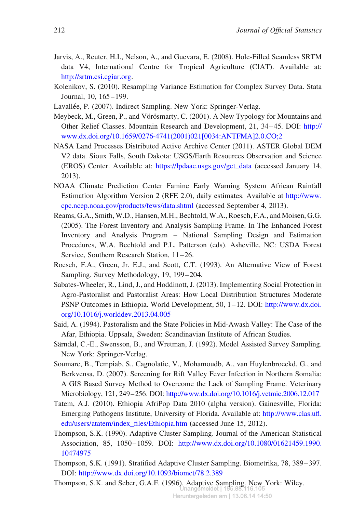- Jarvis, A., Reuter, H.I., Nelson, A., and Guevara, E. (2008). Hole-Filled Seamless SRTM data V4, International Centre for Tropical Agriculture (CIAT). Available at: [http://srtm.csi.cgiar.org.](http://srtm.csi.cgiar.org)
- Kolenikov, S. (2010). Resampling Variance Estimation for Complex Survey Data. Stata Journal, 10, 165–199.
- Lavallée, P. (2007). Indirect Sampling. New York: Springer-Verlag.
- Meybeck, M., Green, P., and Vörösmarty, C. (2001). A New Typology for Mountains and Other Relief Classes. Mountain Research and Development, 21, 34–45. DOI: [http://](http://www.dx.doi.org/10.1659/0276-4741(2001)021[0034:ANTFMA]2.0.CO;2) [www.dx.doi.org/10.1659/0276-4741\(2001\)021\[0034:ANTFMA\]2.0.CO;2](http://www.dx.doi.org/10.1659/0276-4741(2001)021[0034:ANTFMA]2.0.CO;2)
- NASA Land Processes Distributed Active Archive Center (2011). ASTER Global DEM V2 data. Sioux Falls, South Dakota: USGS/Earth Resources Observation and Science (EROS) Center. Available at: [https://lpdaac.usgs.gov/get\\_data](https://lpdaac.usgs.gov/get_data) (accessed January 14, 2013).
- NOAA Climate Prediction Center Famine Early Warning System African Rainfall Estimation Algorithm Version 2 (RFE 2.0), daily estimates. Available at [http://www.](http://www.cpc.ncep.noaa.gov/products/fews/data.shtml) [cpc.ncep.noaa.gov/products/fews/data.shtml](http://www.cpc.ncep.noaa.gov/products/fews/data.shtml) (accessed September 4, 2013).
- Reams, G.A., Smith, W.D., Hansen, M.H., Bechtold, W.A., Roesch, F.A., and Moisen, G.G. (2005). The Forest Inventory and Analysis Sampling Frame. In The Enhanced Forest Inventory and Analysis Program – National Sampling Design and Estimation Procedures, W.A. Bechtold and P.L. Patterson (eds). Asheville, NC: USDA Forest Service, Southern Research Station, 11–26.
- Roesch, F.A., Green, Jr. E.J., and Scott, C.T. (1993). An Alternative View of Forest Sampling. Survey Methodology, 19, 199–204.
- Sabates-Wheeler, R., Lind, J., and Hoddinott, J. (2013). Implementing Social Protection in Agro-Pastoralist and Pastoralist Areas: How Local Distribution Structures Moderate PSNP Outcomes in Ethiopia. World Development, 50, 1–12. DOI: [http://www.dx.doi.](http://www.dx.doi.org/10.1016/j.worlddev.2013.04.005) [org/10.1016/j.worlddev.2013.04.005](http://www.dx.doi.org/10.1016/j.worlddev.2013.04.005)
- Said, A. (1994). Pastoralism and the State Policies in Mid-Awash Valley: The Case of the Afar, Ethiopia. Uppsala, Sweden: Scandinavian Institute of African Studies.
- Särndal, C.-E., Swensson, B., and Wretman, J. (1992). Model Assisted Survey Sampling. New York: Springer-Verlag.
- Soumare, B., Tempiab, S., Cagnolatic, V., Mohamoudb, A., van Huylenbroeckd, G., and Berkvensa, D. (2007). Screening for Rift Valley Fever Infection in Northern Somalia: A GIS Based Survey Method to Overcome the Lack of Sampling Frame. Veterinary Microbiology, 121, 249–256. DOI: <http://www.dx.doi.org/10.1016/j.vetmic.2006.12.017>
- Tatem, A.J. (2010). Ethiopia AfriPop Data 2010 (alpha version). Gainesville, Florida: Emerging Pathogens Institute, University of Florida. Available at: [http://www.clas.ufl.](http://www.clas.ufl.edu/users/atatem/index_files/Ethiopia.htm) [edu/users/atatem/index\\_files/Ethiopia.htm](http://www.clas.ufl.edu/users/atatem/index_files/Ethiopia.htm) (accessed June 15, 2012).
- Thompson, S.K. (1990). Adaptive Cluster Sampling. Journal of the American Statistical Association, 85, 1050–1059. DOI: [http://www.dx.doi.org/10.1080/01621459.1990.](http://www.dx.doi.org/10.1080/01621459.1990.10474975) [10474975](http://www.dx.doi.org/10.1080/01621459.1990.10474975)
- Thompson, S.K. (1991). Stratified Adaptive Cluster Sampling. Biometrika, 78, 389–397. DOI: <http://www.dx.doi.org/10.1093/biomet/78.2.389>
- Thompson, S.K. and Seber, G.A.F. (1996). Adaptive Sampling. New York: Wiley. Unangemeldet | 195.88.116.105